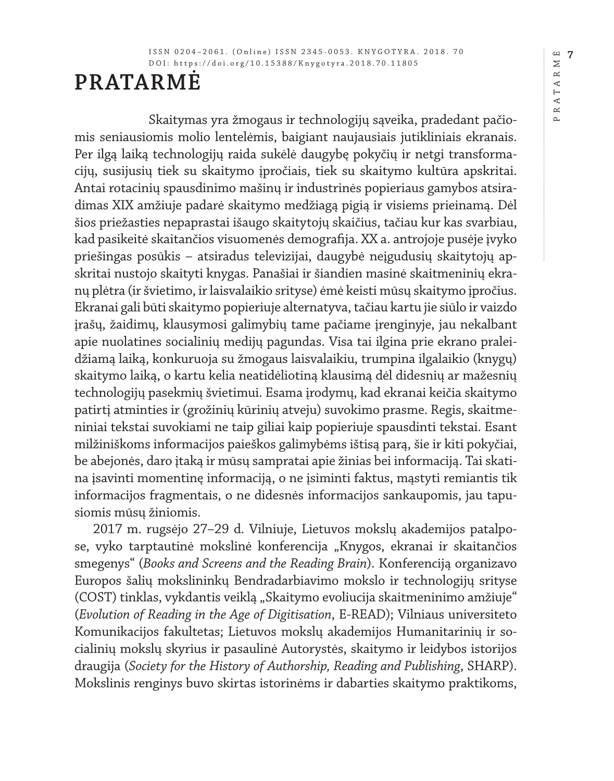## **PRATARMĖ**

Skaitymas yra žmogaus ir technologijų sąveika, pradedant pačiomis seniausiomis molio lentelėmis, baigiant naujausiais jutikliniais ekranais. Per ilgą laiką technologijų raida sukėlė daugybę pokyčių ir netgi transformacijų, susijusių tiek su skaitymo įpročiais, tiek su skaitymo kultūra apskritai. Antai rotacinių spausdinimo mašinų ir industrinės popieriaus gamybos atsiradimas XIX amžiuje padarė skaitymo medžiagą pigią ir visiems prieinamą. Dėl šios priežasties nepaprastai išaugo skaitytojų skaičius, tačiau kur kas svarbiau, kad pasikeitė skaitančios visuomenės demografija. XX a. antrojoje pusėje įvyko priešingas posūkis – atsiradus televizijai, daugybė neįgudusių skaitytojų apskritai nustojo skaityti knygas. Panašiai ir šiandien masinė skaitmeninių ekranų plėtra (ir švietimo, ir laisvalaikio srityse) ėmė keisti mūsų skaitymo įpročius. Ekranai gali būti skaitymo popieriuje alternatyva, tačiau kartu jie siūlo ir vaizdo įrašų, žaidimų, klausymosi galimybių tame pačiame įrenginyje, jau nekalbant apie nuolatines socialinių medijų pagundas. Visa tai ilgina prie ekrano praleidžiamą laiką, konkuruoja su žmogaus laisvalaikiu, trumpina ilgalaikio (knygų) skaitymo laiką, o kartu kelia neatidėliotiną klausimą dėl didesnių ar mažesnių technologijų pasekmių švietimui. Esama įrodymų, kad ekranai keičia skaitymo patirtį atminties ir (grožinių kūrinių atveju) suvokimo prasme. Regis, skaitmeniniai tekstai suvokiami ne taip giliai kaip popieriuje spausdinti tekstai. Esant milžiniškoms informacijos paieškos galimybėms ištisą parą, šie ir kiti pokyčiai, be abejonės, daro įtaką ir mūsų sampratai apie žinias bei informaciją. Tai skatina įsavinti momentinę informaciją, o ne įsiminti faktus, mąstyti remiantis tik informacijos fragmentais, o ne didesnės informacijos sankaupomis, jau tapusiomis mūsų žiniomis.

2017 m. rugsėjo 27–29 d. Vilniuje, Lietuvos mokslų akademijos patalpose, vyko tarptautinė mokslinė konferencija "Knygos, ekranai ir skaitančios smegenys" (*Books and Screens and the Reading Brain*). Konferenciją organizavo Europos šalių mokslininkų Bendradarbiavimo mokslo ir technologijų srityse (COST) tinklas, vykdantis veiklą "Skaitymo evoliucija skaitmeninimo amžiuje" (*Evolution of Reading in the Age of Digitisation*, E-READ); Vilniaus universiteto Komunikacijos fakultetas; Lietuvos mokslų akademijos Humanitarinių ir socialinių mokslų skyrius ir pasaulinė Autorystės, skaitymo ir leidybos istorijos draugija (*Society for the History of Authorship, Reading and Publishing*, SHARP). Mokslinis renginys buvo skirtas istorinėms ir dabarties skaitymo praktikoms, **4**<br>**7** PRATARMĖ  $\geq$  $\simeq$ R A T A

 $\overline{\mathbb{A}}$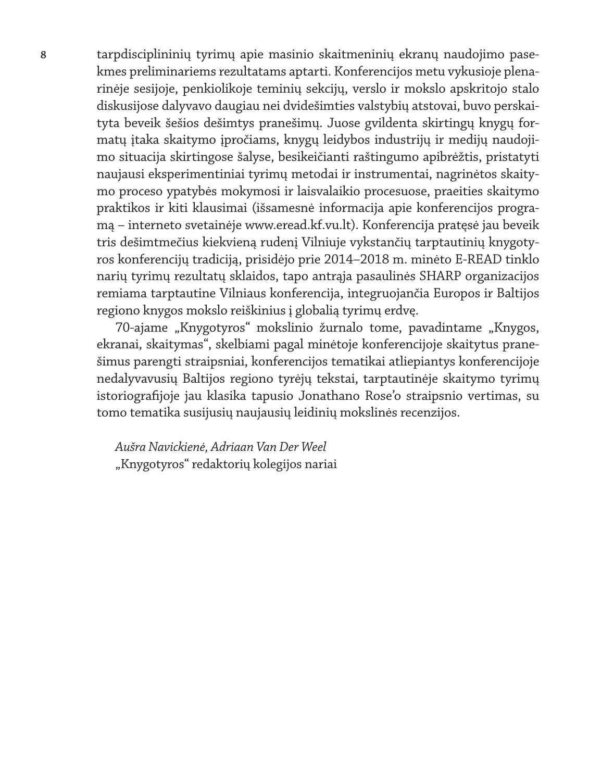**8** tarpdisciplininių tyrimų apie masinio skaitmeninių ekranų naudojimo pasekmes preliminariems rezultatams aptarti. Konferencijos metu vykusioje plenarinėje sesijoje, penkiolikoje teminių sekcijų, verslo ir mokslo apskritojo stalo diskusijose dalyvavo daugiau nei dvidešimties valstybių atstovai, buvo perskaityta beveik šešios dešimtys pranešimų. Juose gvildenta skirtingų knygų formatų įtaka skaitymo įpročiams, knygų leidybos industrijų ir medijų naudojimo situacija skirtingose šalyse, besikeičianti raštingumo apibrėžtis, pristatyti naujausi eksperimentiniai tyrimų metodai ir instrumentai, nagrinėtos skaitymo proceso ypatybės mokymosi ir laisvalaikio procesuose, praeities skaitymo praktikos ir kiti klausimai (išsamesnė informacija apie konferencijos programą – interneto svetainėje www.eread.kf.vu.lt). Konferencija pratęsė jau beveik tris dešimtmečius kiekvieną rudenį Vilniuje vykstančių tarptautinių knygotyros konferencijų tradiciją, prisidėjo prie 2014–2018 m. minėto E-READ tinklo narių tyrimų rezultatų sklaidos, tapo antrąja pasaulinės SHARP organizacijos remiama tarptautine Vilniaus konferencija, integruojančia Europos ir Baltijos regiono knygos mokslo reiškinius į globalią tyrimų erdvę.

> 70-ajame "Knygotyros" mokslinio žurnalo tome, pavadintame "Knygos, ekranai, skaitymas", skelbiami pagal minėtoje konferencijoje skaitytus pranešimus parengti straipsniai, konferencijos tematikai atliepiantys konferencijoje nedalyvavusių Baltijos regiono tyrėjų tekstai, tarptautinėje skaitymo tyrimų istoriografijoje jau klasika tapusio Jonathano Rose'o straipsnio vertimas, su tomo tematika susijusių naujausių leidinių mokslinės recenzijos.

*Aušra Navickienė, Adriaan Van Der Weel* "Knygotyros" redaktorių kolegijos nariai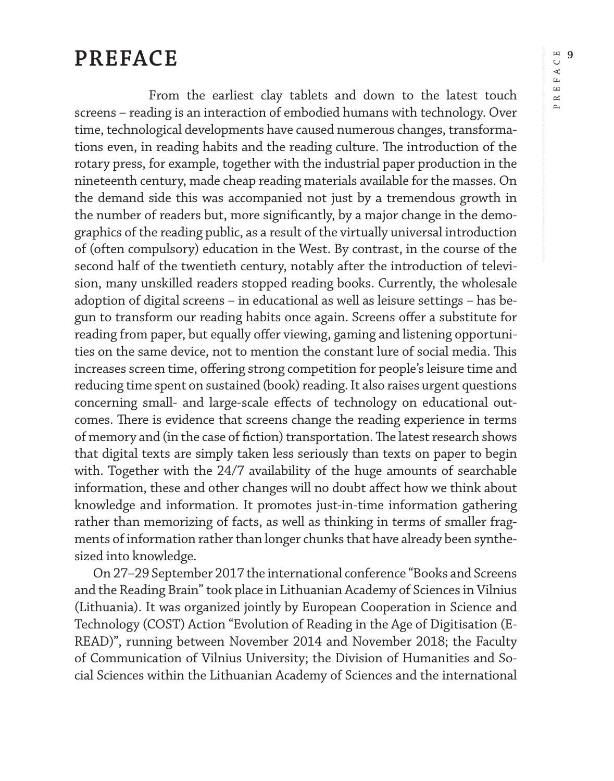## **PREFACE**

sized into knowledge.

From the earliest clay tablets and down to the latest touch screens – reading is an interaction of embodied humans with technology. Over time, technological developments have caused numerous changes, transformations even, in reading habits and the reading culture. The introduction of the rotary press, for example, together with the industrial paper production in the nineteenth century, made cheap reading materials available for the masses. On the demand side this was accompanied not just by a tremendous growth in the number of readers but, more significantly, by a major change in the demographics of the reading public, as a result of the virtually universal introduction of (often compulsory) education in the West. By contrast, in the course of the second half of the twentieth century, notably after the introduction of television, many unskilled readers stopped reading books. Currently, the wholesale adoption of digital screens – in educational as well as leisure settings – has begun to transform our reading habits once again. Screens offer a substitute for reading from paper, but equally offer viewing, gaming and listening opportunities on the same device, not to mention the constant lure of social media. This increases screen time, offering strong competition for people's leisure time and reducing time spent on sustained (book) reading. It also raises urgent questions concerning small- and large-scale effects of technology on educational outcomes. There is evidence that screens change the reading experience in terms of memory and (in the case of fiction) transportation. The latest research shows that digital texts are simply taken less seriously than texts on paper to begin with. Together with the 24/7 availability of the huge amounts of searchable information, these and other changes will no doubt affect how we think about knowledge and information. It promotes just-in-time information gathering rather than memorizing of facts, as well as thinking in terms of smaller fragments of information rather than longer chunks that have already been synthe-

On 27–29 September 2017 the international conference "Books and Screens and the Reading Brain" took place in Lithuanian Academy of Sciences in Vilnius (Lithuania). It was organized jointly by European Cooperation in Science and Technology (COST) Action "Evolution of Reading in the Age of Digitisation (E-READ)", running between November 2014 and November 2018; the Faculty of Communication of Vilnius University; the Division of Humanities and Social Sciences within the Lithuanian Academy of Sciences and the international

**9** PREFACE FAC1  $\mathbf{r}$  $\alpha$  $\sim$